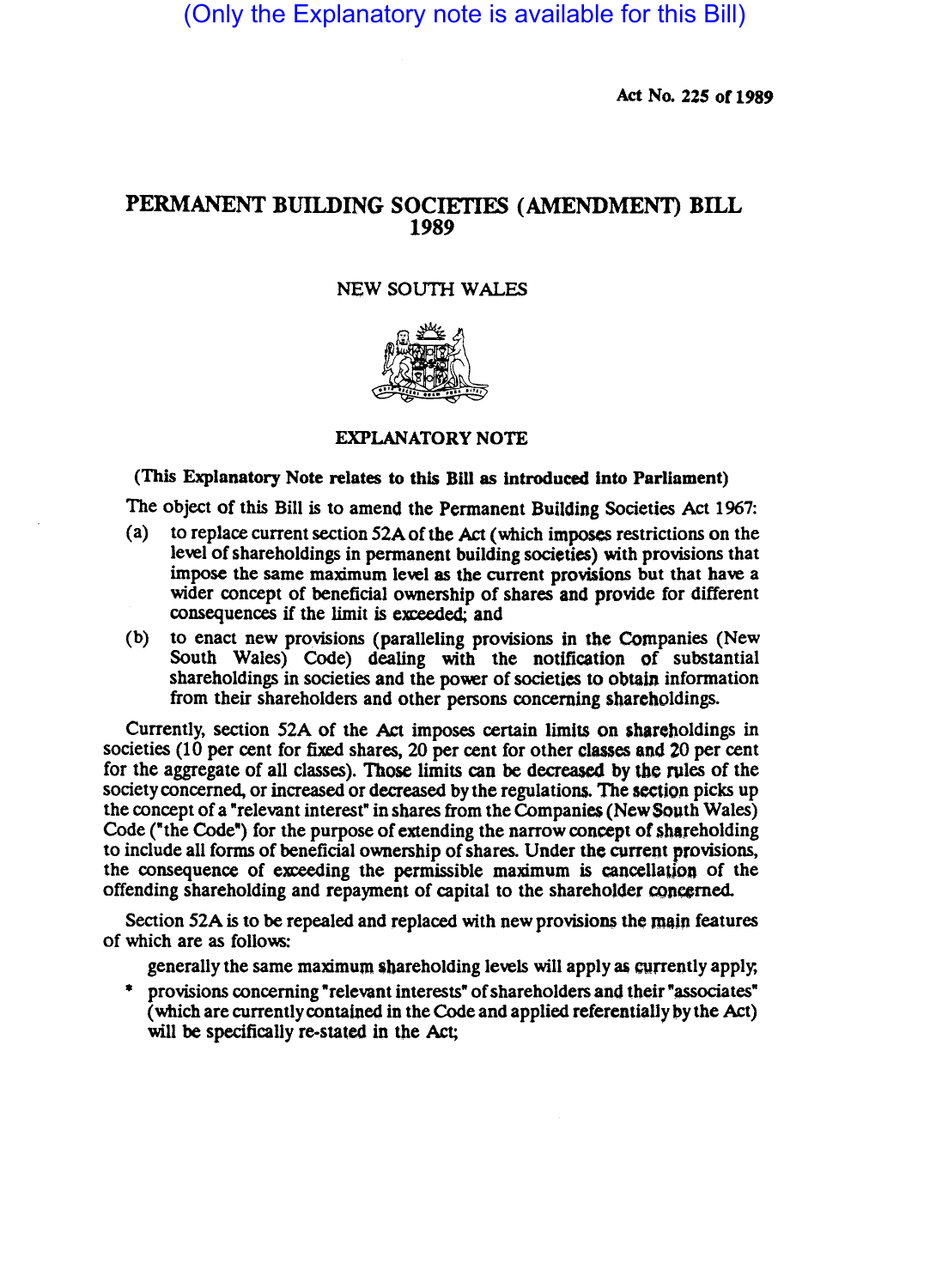(Only the Explanatory note is available for this Bill)

Act No. 225 of 1989

## PERMANENT BUILDING SOCIETIES (AMENDMENT) BILL 1989

## NEW SOUTH WALES



## EXPLANATORY NOTE

## (This Explanatory Note relates to this Blll as introduced Into Parliament)

The Object of this Bill is to amend the Permanent Building Societies Act 1967:

- (a) to replace current section 52Aofthe Act (which imposes restrictions on the level of shareholdings in permanent building societies) with provisions that impose the same maximum level as the current provisions but that have a wider concept of beneficial ownership of shares and provide for different consequences if the limit is exceeded; and
- (b) to enact new provisions (paralleling provisions in tbe Companies (New South Wales) Code) dealing with the notification of substantial shareholdings in societies and the power of societies to obtain information from their shareholders and other persons concerning shareholdings.

Currently, section 52A of the Act imposes certain limits on shareholdings in societies (10 per cent for fixed shares, 20 per cent for other classes and 20 per cent for the aggregate of all classes). Those limits can be decreased by the rules of the society concerned, or increased or decreased by the regulations. The section picks up the concept of a "relevant interest" in shares from the Companies (New South Wales) Code ("the Code") for the purpose of extending the narrow concept of shareholding to include all forms of beneficial ownership of shares. Under the current provisions, the consequence of exceeding the permissible maximum is cancellation of the offending shareholding and repayment of capital to the shareholder concerned.

Section 52A is to be repealed and replaced with new provisions the main features of which are as follo\\5:

generally the same maximum shareholding levels will apply as currently apply,

\* provisions concerning "relevant interests" of shareholders and their "associates" (which are currently contained in the Code and applied referentially by the Act) will be specifically re-stated in the Act;